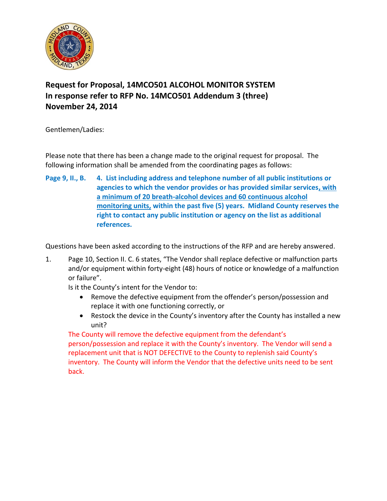

## **Request for Proposal, 14MCO501 ALCOHOL MONITOR SYSTEM In response refer to RFP No. 14MCO501 Addendum 3 (three) November 24, 2014**

Gentlemen/Ladies:

Please note that there has been a change made to the original request for proposal. The following information shall be amended from the coordinating pages as follows:

**Page 9, II., B. 4. List including address and telephone number of all public institutions or agencies to which the vendor provides or has provided similar services, with a minimum of 20 breath-alcohol devices and 60 continuous alcohol monitoring units, within the past five (5) years. Midland County reserves the right to contact any public institution or agency on the list as additional references.**

Questions have been asked according to the instructions of the RFP and are hereby answered.

1. Page 10, Section II. C. 6 states, "The Vendor shall replace defective or malfunction parts and/or equipment within forty-eight (48) hours of notice or knowledge of a malfunction or failure".

Is it the County's intent for the Vendor to:

- Remove the defective equipment from the offender's person/possession and replace it with one functioning correctly, or
- Restock the device in the County's inventory after the County has installed a new unit?

The County will remove the defective equipment from the defendant's person/possession and replace it with the County's inventory. The Vendor will send a replacement unit that is NOT DEFECTIVE to the County to replenish said County's inventory. The County will inform the Vendor that the defective units need to be sent back.